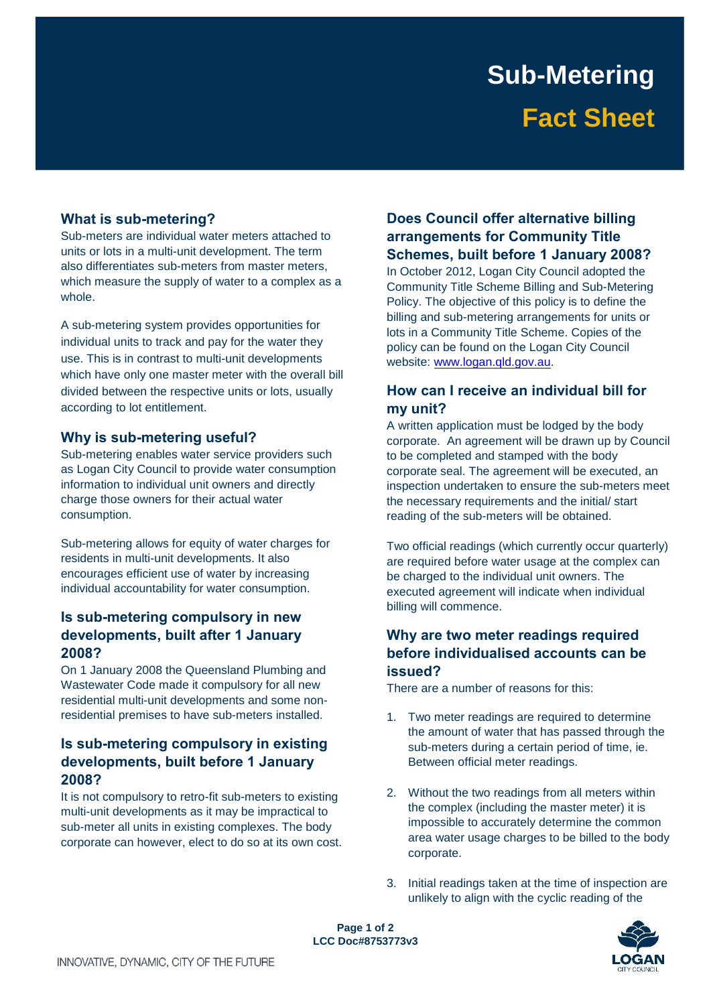# **Sub-Metering Fact Sheet**

### **What is sub-metering?**

 units or lots in a multi-unit development. The term Sub-meters are individual water meters attached to also differentiates sub-meters from master meters, which measure the supply of water to a complex as a whole.

 which have only one master meter with the overall bill divided between the respective units or lots, usually A sub-metering system provides opportunities for individual units to track and pay for the water they use. This is in contrast to multi-unit developments according to lot entitlement.

### **Why is sub-metering useful?**

 Sub-metering enables water service providers such charge those owners for their actual water as Logan City Council to provide water consumption information to individual unit owners and directly consumption.

 encourages efficient use of water by increasing Sub-metering allows for equity of water charges for residents in multi-unit developments. It also individual accountability for water consumption.

### **2008? Is sub-metering compulsory in new developments, built after 1 January**

 Wastewater Code made it compulsory for all new residential premises to have sub-meters installed. On 1 January 2008 the Queensland Plumbing and residential multi-unit developments and some non-

### **developments, built before 1 January Is sub-metering compulsory in existing 2008?**

 multi-unit developments as it may be impractical to sub-meter all units in existing complexes. The body It is not compulsory to retro-fit sub-meters to existing corporate can however, elect to do so at its own cost.

### **Schemes, built before 1 January 2008? Does Council offer alternative billing arrangements for Community Title**

 In October 2012, Logan City Council adopted the Policy. The objective of this policy is to define the policy can be found on the Logan City Council Community Title Scheme Billing and Sub-Metering billing and sub-metering arrangements for units or lots in a Community Title Scheme. Copies of the website:<www.logan.qld.gov.au>.

### **How can I receive an individual bill for my unit?**

 A written application must be lodged by the body to be completed and stamped with the body corporate seal. The agreement will be executed, an inspection undertaken to ensure the sub-meters meet reading of the sub-meters will be obtained. corporate. An agreement will be drawn up by Council the necessary requirements and the initial/ start

 be charged to the individual unit owners. The Two official readings (which currently occur quarterly) are required before water usage at the complex can executed agreement will indicate when individual billing will commence.

### **before individualised accounts can be Why are two meter readings required issued?**

There are a number of reasons for this:

- the amount of water that has passed through the 1. Two meter readings are required to determine sub-meters during a certain period of time, ie. Between official meter readings.
- the complex (including the master meter) it is 2. Without the two readings from all meters within impossible to accurately determine the common area water usage charges to be billed to the body corporate.
- 3. Initial readings taken at the time of inspection are unlikely to align with the cyclic reading of the

 **Page 1 of 2 LCC Doc#8753773v3**